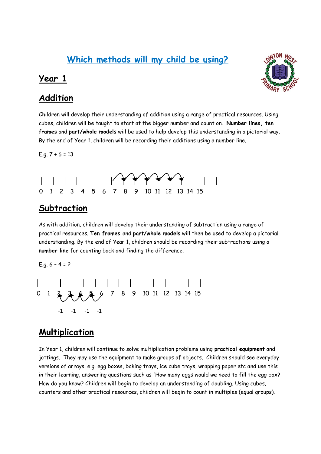# **Which methods will my child be using?**

#### **Year 1**

## **Addition**



Children will develop their understanding of addition using a range of practical resources. Using cubes, children will be taught to start at the bigger number and count on. **Number lines, ten frames** and **part/whole models** will be used to help develop this understanding in a pictorial way. By the end of Year 1, children will be recording their additions using a number line.

E.g.  $7 + 6 = 13$ 



### **Subtraction**

As with addition, children will develop their understanding of subtraction using a range of practical resources. **Ten frames** and **part/whole models** will then be used to develop a pictorial understanding. By the end of Year 1, children should be recording their subtractions using a **number line** for counting back and finding the difference.

E.g. 6 – 4 = 2



## **Multiplication**

In Year 1, children will continue to solve multiplication problems using **practical equipment** and jottings. They may use the equipment to make groups of objects. Children should see everyday versions of arrays, e.g. egg boxes, baking trays, ice cube trays, wrapping paper etc and use this in their learning, answering questions such as 'How many eggs would we need to fill the egg box? How do you know? Children will begin to develop an understanding of doubling. Using cubes, counters and other practical resources, children will begin to count in multiples (equal groups).